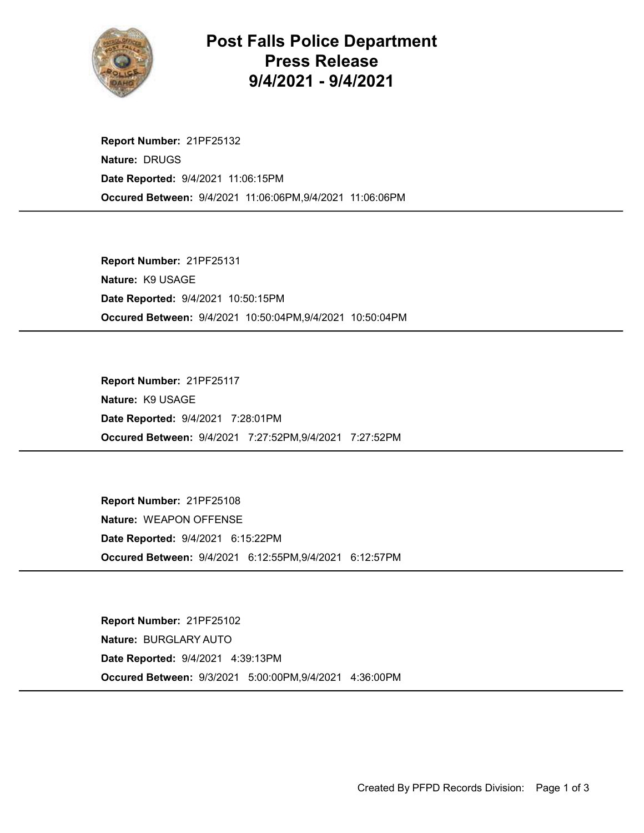

## Post Falls Police Department Press Release 9/4/2021 - 9/4/2021

Occured Between: 9/4/2021 11:06:06PM,9/4/2021 11:06:06PM Report Number: 21PF25132 Nature: DRUGS Date Reported: 9/4/2021 11:06:15PM

Occured Between: 9/4/2021 10:50:04PM,9/4/2021 10:50:04PM Report Number: 21PF25131 Nature: K9 USAGE Date Reported: 9/4/2021 10:50:15PM

Occured Between: 9/4/2021 7:27:52PM,9/4/2021 7:27:52PM Report Number: 21PF25117 Nature: K9 USAGE Date Reported: 9/4/2021 7:28:01PM

Occured Between: 9/4/2021 6:12:55PM,9/4/2021 6:12:57PM Report Number: 21PF25108 Nature: WEAPON OFFENSE Date Reported: 9/4/2021 6:15:22PM

Occured Between: 9/3/2021 5:00:00PM,9/4/2021 4:36:00PM Report Number: 21PF25102 Nature: BURGLARY AUTO Date Reported: 9/4/2021 4:39:13PM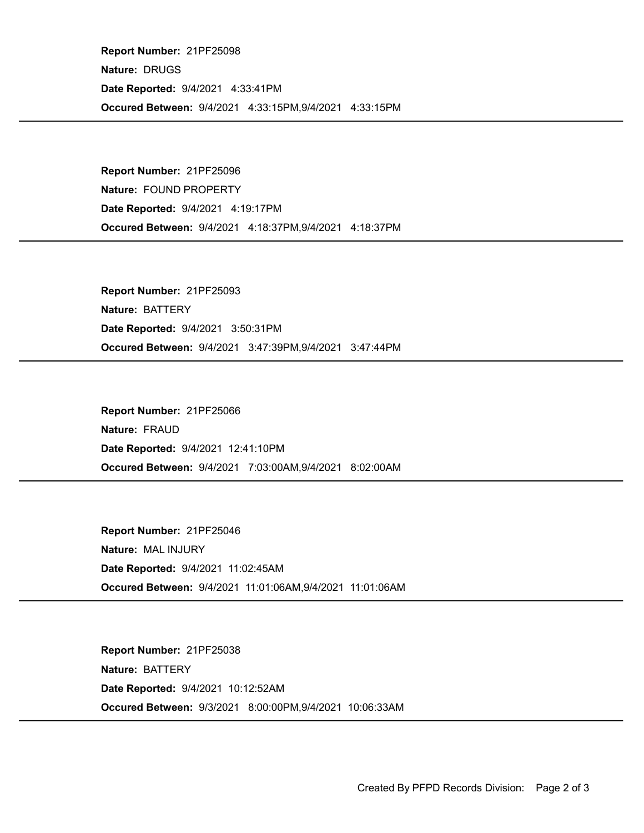Occured Between: 9/4/2021 4:33:15PM,9/4/2021 4:33:15PM Report Number: 21PF25098 Nature: DRUGS Date Reported: 9/4/2021 4:33:41PM

Occured Between: 9/4/2021 4:18:37PM,9/4/2021 4:18:37PM Report Number: 21PF25096 Nature: FOUND PROPERTY Date Reported: 9/4/2021 4:19:17PM

Occured Between: 9/4/2021 3:47:39PM,9/4/2021 3:47:44PM Report Number: 21PF25093 Nature: BATTERY Date Reported: 9/4/2021 3:50:31PM

Occured Between: 9/4/2021 7:03:00AM,9/4/2021 8:02:00AM Report Number: 21PF25066 Nature: FRAUD Date Reported: 9/4/2021 12:41:10PM

Occured Between: 9/4/2021 11:01:06AM,9/4/2021 11:01:06AM Report Number: 21PF25046 Nature: MAL INJURY Date Reported: 9/4/2021 11:02:45AM

Occured Between: 9/3/2021 8:00:00PM,9/4/2021 10:06:33AM Report Number: 21PF25038 Nature: BATTERY Date Reported: 9/4/2021 10:12:52AM